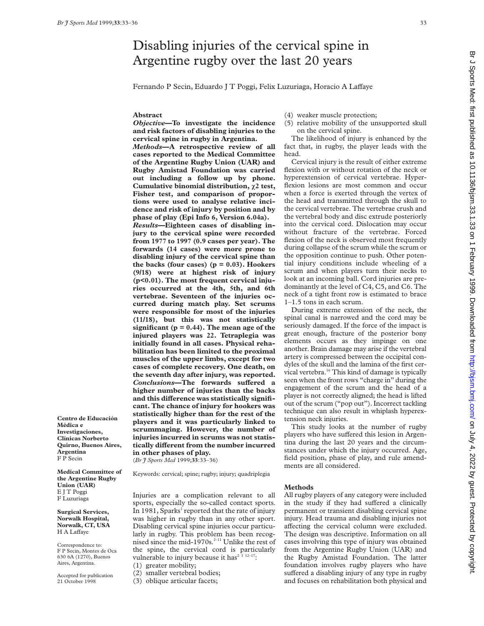# Disabling injuries of the cervical spine in Argentine rugby over the last 20 years

Fernando P Secin, Eduardo J T Poggi, Felix Luzuriaga, Horacio A Laffaye

#### **Abstract**

*Objective***—To investigate the incidence and risk factors of disabling injuries to the cervical spine in rugby in Argentina.**

*Methods***—A retrospective review of all cases reported to the Medical Committee of the Argentine Rugby Union (UAR) and Rugby Amistad Foundation was carried out including a follow up by phone. Cumulative binomial distribution, ÷2 test, Fisher test, and comparison of proportions were used to analyse relative incidence and risk of injury by position and by phase of play (Epi Info 6, Version 6.04a).** *Results***—Eighteen cases of disabling injury to the cervical spine were recorded from 1977 to 1997 (0.9 cases per year). The forwards (14 cases) were more prone to disabling injury of the cervical spine than** the backs (four cases)  $(p = 0.03)$ . Hookers **(9/18) were at highest risk of injury (p<0.01). The most frequent cervical injuries occurred at the 4th, 5th, and 6th vertebrae. Seventeen of the injuries occurred during match play. Set scrums were responsible for most of the injuries (11/18), but this was not statistically significant (p = 0.44). The mean age of the injured players was 22. Tetraplegia was initially found in all cases. Physical rehabilitation has been limited to the proximal muscles of the upper limbs, except for two cases of complete recovery. One death, on the seventh day after injury, was reported.**  $Conclusions$ —The forwards suffered a **higher number of injuries than the backs** and this difference was statistically signifi**cant. The chance of injury for hookers was statistically higher than for the rest of the players and it was particularly linked to scrummaging. However, the number of injuries incurred in scrums was not statistically diVerent from the number incurred in other phases of play.**

(*Br J Sports Med* 1999;**33**:33–36)

Keywords: cervical; spine; rugby; injury; quadriplegia

Injuries are a complication relevant to all sports, especially the so-called contact sports. In 1981, Sparks<sup>1</sup> reported that the rate of injury was higher in rugby than in any other sport. Disabling cervical spine injuries occur particularly in rugby. This problem has been recognised since the mid-1970s.<sup>2-11</sup> Unlike the rest of the spine, the cervical cord is particularly vulnerable to injury because it has $2^{3}$   $12-17$ :

- (1) greater mobility;
- (2) smaller vertebral bodies;
- (3) oblique articular facets;

(4) weaker muscle protection;

(5) relative mobility of the unsupported skull on the cervical spine.

The likelihood of injury is enhanced by the fact that, in rugby, the player leads with the head.

Cervical injury is the result of either extreme flexion with or without rotation of the neck or hyperextension of cervical vertebrae. Hyperflexion lesions are most common and occur when a force is exerted through the vertex of the head and transmitted through the skull to the cervical vertebrae. The vertebrae crush and the vertebral body and disc extrude posteriorly into the cervical cord. Dislocation may occur without fracture of the vertebrae. Forced flexion of the neck is observed most frequently during collapse of the scrum while the scrum or the opposition continue to push. Other potential injury conditions include wheeling of a scrum and when players turn their necks to look at an incoming ball. Cord injuries are predominantly at the level of C4, C5, and C6. The neck of a tight front row is estimated to brace 1–1.5 tons in each scrum.

During extreme extension of the neck, the spinal canal is narrowed and the cord may be seriously damaged. If the force of the impact is great enough, fracture of the posterior bony elements occurs as they impinge on one another. Brain damage may arise if the vertebral artery is compressed between the occipital condyles of the skull and the lamina of the first cervical vertebra.<sup>16</sup> This kind of damage is typically seen when the front rows "charge in" during the engagement of the scrum and the head of a player is not correctly aligned; the head is lifted out of the scrum ("pop out"). Incorrect tackling technique can also result in whiplash hyperextension neck injuries.

This study looks at the number of rugby players who have suffered this lesion in Argentina during the last 20 years and the circumstances under which the injury occurred. Age, field position, phase of play, and rule amendments are all considered.

#### **Methods**

All rugby players of any category were included in the study if they had suffered a clinically permanent or transient disabling cervical spine injury. Head trauma and disabling injuries not affecting the cervical column were excluded. The design was descriptive. Information on all cases involving this type of injury was obtained from the Argentine Rugby Union (UAR) and the Rugby Amistad Foundation. The latter foundation involves rugby players who have suffered a disabling injury of any type in rugby and focuses on rehabilitation both physical and

**Centro de Educación Médica e Investigaciones, Clínicas Norberto Quirno, Buenos Aires, Argentina** F P Secin

**Medical Committee of the Argentine Rugby Union (UAR)** E J T Poggi F Luzuriaga

**Surgical Services, Norwalk Hospital, Norwalk, CT, USA** H A Laffaye

Correspondence to: F P Secin, Montes de Oca 630 6A (1270), Buenos Aires, Argentina.

Accepted for publication 21 October 1998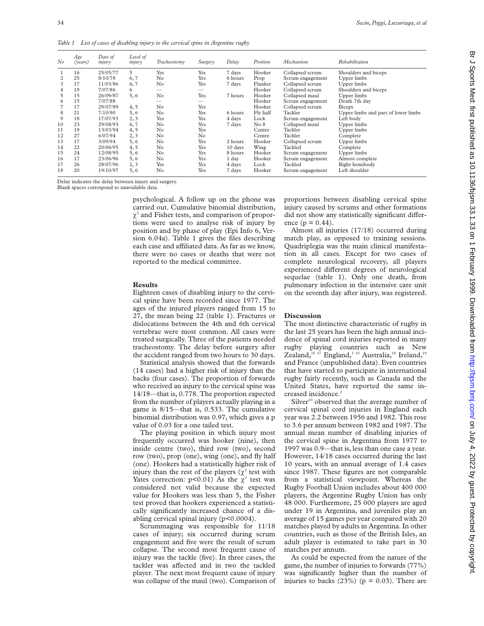*Table 1 List of cases of disabling injury to the cervical spine in Argentine rugby*

| No | Age<br>(vears) | Date of<br>injury | Level of<br>injury | Tracheostomy | Surgery | Delay   | Position | Mechanism        | Rehabilitation                      |
|----|----------------|-------------------|--------------------|--------------|---------|---------|----------|------------------|-------------------------------------|
| 1  | 16             | 25/05/77          | 5                  | Yes          | Yes     | 7 days  | Hooker   | Collapsed scrum  | Shoulders and biceps                |
| 2  | 25             | 8/10/78           | 6, 7               | No.          | Yes     | 6 hours | Prop     | Scrum engagement | Upper limbs                         |
| 3  | 17             | 11/03/86          | 6, 7               | No           | Yes     | 7 days  | Flanker  | Collapsed scrum  | Upper limbs                         |
| 4  | 19             | 7/07/86           | 6                  | --           | –       |         | Hooker   | Collapsed scrum  | Shoulders and biceps                |
| 5  | 15             | 26/09/87          | 5, 6               | No           | Yes     | 7 hours | Hooker   | Collapsed maul   | Upper limbs                         |
| 6  | 15             | 7/07/88           |                    | --           | –       |         | Hooker   | Scrum engagement | Death 7th day                       |
|    | 17             | 29/07/89          | 4, 5               | No           | Yes     |         | Hooker   | Collapsed scrum  | <b>Biceps</b>                       |
| 8  | 21             | 7/10/90           | 5, 6               | No           | Yes     | 6 hours | Fly half | Tackler          | Upper limbs and part of lower limbs |
| 9  | 18             | 17/07/93          | 2, 3               | Yes          | Yes     | 4 days  | Lock     | Scrum engagement | Left body                           |
| 10 | 23             | 29/08/93          | 6, 7               | No           | Yes     | 7 days  | No 8     | Collapsed maul   | Upper limbs                         |
| 11 | 19             | 13/03/94          | 4, 5               | No           | Yes     |         | Centre   | Tackler          | Upper limbs                         |
| 12 | 27             | 6/07/94           | 2, 3               | No           | No      |         | Centre   | Tackler          | Complete                            |
| 13 | 17             | 3/09/94           | 5, 6               | No           | Yes     | 2 hours | Hooker   | Collapsed scrum  | Upper limbs                         |
| 14 | 22             | 20/06/95          | 4, 5               | No           | Yes     | 10 days | Wing     | Tackled          | Complete                            |
| 15 | 24             | 12/08/95          | 5, 6               | No           | Yes     | 8 hours | Hooker   | Scrum engagement | Upper limbs                         |
| 16 | 17             | 23/06/96          | 5, 6               | No           | Yes     | 1 day   | Hooker   | Scrum engagement | Almost complete                     |
| 17 | 26             | 28/07/96          | 2, 3               | Yes          | Yes     | 4 days  | Lock     | Tackled          | Right hemibody                      |
| 18 | 20             | 19/10/97          | 5, 6               | No.          | Yes     | 7 days  | Hooker   | Scrum engagement | Left shoulder                       |

Delay indicates the delay between injury and surgery. Blank spaces correspond to unavailable data.

> psychological. A follow up on the phone was carried out. Cumulative binomial distribution,  $\chi^2$  and Fisher tests, and comparison of proportions were used to analyse risk of injury by position and by phase of play (Epi Info 6, Version 6.04a). Table 1 gives the files describing each case and affiliated data. As far as we know, there were no cases or deaths that were not reported to the medical committee.

#### **Results**

Eighteen cases of disabling injury to the cervical spine have been recorded since 1977. The ages of the injured players ranged from 15 to 27, the mean being 22 (table 1). Fractures or dislocations between the 4th and 6th cervical vertebrae were most common. All cases were treated surgically. Three of the patients needed tracheostomy. The delay before surgery after the accident ranged from two hours to 30 days.

Statistical analysis showed that the forwards (14 cases) had a higher risk of injury than the backs (four cases). The proportion of forwards who received an injury to the cervical spine was 14/18—that is, 0.778. The proportion expected from the number of players actually playing in a game is 8/15—that is, 0.533. The cumulative binomial distribution was 0.97, which gives a p value of 0.03 for a one tailed test.

The playing position in which injury most frequently occurred was hooker (nine), then inside centre (two), third row (two), second row (two), prop (one), wing (one), and fly half (one). Hookers had a statistically higher risk of injury than the rest of the players  $(\chi^2)$  test with Yates correction: p<0.01) As the  $\chi^2$  test was considered not valid because the expected value for Hookers was less than 5, the Fisher test proved that hookers experienced a statistically significantly increased chance of a disabling cervical spinal injury (p<0.0004).

Scrummaging was responsible for 11/18 cases of injury; six occurred during scrum engagement and five were the result of scrum collapse. The second most frequent cause of injury was the tackle (five). In three cases, the tackler was affected and in two the tackled player. The next most frequent cause of injury was collapse of the maul (two). Comparison of

proportions between disabling cervical spine injury caused by scrums and other formations did not show any statistically significant difference ( $p = 0.44$ ).

Almost all injuries (17/18) occurred during match play, as opposed to training sessions. Quadriplegia was the main clinical manifestation in all cases. Except for two cases of complete neurological recovery, all players experienced different degrees of neurological sequelae (table 1). Only one death, from pulmonary infection in the intensive care unit on the seventh day after injury, was registered.

#### **Discussion**

The most distinctive characteristic of rugby in the last 25 years has been the high annual incidence of spinal cord injuries reported in many rugby playing countries such as New Zealand,<sup>15 17</sup> England,<sup>3 10</sup> Australia,<sup>18</sup> Ireland,<sup>19</sup> and France (unpublished data). Even countries that have started to participate in international rugby fairly recently, such as Canada and the United States, have reported the same increased incidence.<sup>2</sup>

Silver $10$  observed that the average number of cervical spinal cord injuries in England each year was 2.2 between 1956 and 1982. This rose to 3.6 per annum between 1982 and 1987. The annual mean number of disabling injuries of the cervical spine in Argentina from 1977 to 1997 was 0.9—that is, less than one case a year. However, 14/18 cases occurred during the last 10 years, with an annual average of 1.4 cases since 1987. These figures are not comparable from a statistical viewpoint. Whereas the Rugby Football Union includes about 400 000 players, the Argentine Rugby Union has only 48 000. Furthermore, 25 000 players are aged under 19 in Argentina, and juveniles play an average of 15 games per year compared with 20 matches played by adults in Argentina. In other countries, such as those of the British Isles, an adult player is estimated to take part in 30 matches per annum.

As could be expected from the nature of the game, the number of injuries to forwards (77%) was significantly higher than the number of injuries to backs  $(23\%)$  (p = 0.03). There are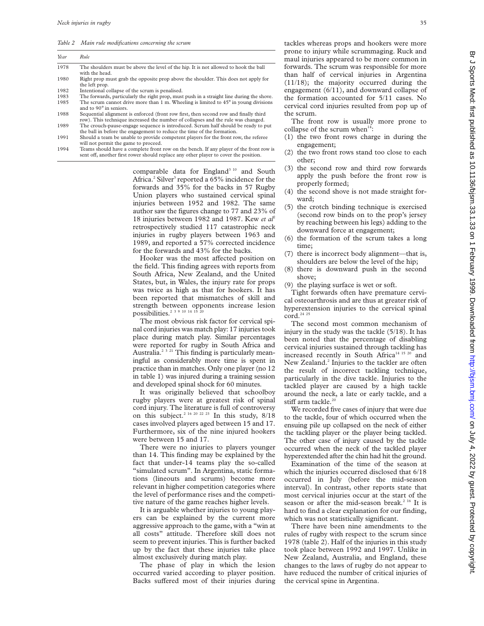*Table 2 Main rule modifications concerning the scrum*

| Year | Rule                                                                                                                                                                     |  |  |  |  |  |  |
|------|--------------------------------------------------------------------------------------------------------------------------------------------------------------------------|--|--|--|--|--|--|
| 1978 | The shoulders must be above the level of the hip. It is not allowed to hook the ball<br>with the head.                                                                   |  |  |  |  |  |  |
| 1980 | Right prop must grab the opposite prop above the shoulder. This does not apply for<br>the left prop.                                                                     |  |  |  |  |  |  |
| 1982 | Intentional collapse of the scrum is penalised.                                                                                                                          |  |  |  |  |  |  |
| 1983 | The forwards, particularly the right prop, must push in a straight line during the shove.                                                                                |  |  |  |  |  |  |
| 1985 | The scrum cannot drive more than 1 m. Wheeling is limited to $45^{\circ}$ in young divisions<br>and to 90° in seniors.                                                   |  |  |  |  |  |  |
| 1988 | Sequential alignment is enforced (front row first, then second row and finally third<br>row). This technique increased the number of collapses and the rule was changed. |  |  |  |  |  |  |
| .    |                                                                                                                                                                          |  |  |  |  |  |  |

1989 The crouch-pause-engage sequence is introduced. Scrum half should be ready to put the ball in before the engagement to reduce the time of the formation.

1991 Should a team be unable to provide competent players for the front row, the referee will not permit the game to proceed.

1994 Teams should have a complete front row on the bench. If any player of the front row is sent off, another first rower should replace any other player to cover the position.

> comparable data for  $E$ ngland<sup>3 10</sup> and South Africa.<sup>2</sup> Silver<sup>3</sup> reported a 65% incidence for the forwards and 35% for the backs in 57 Rugby Union players who sustained cervical spinal injuries between 1952 and 1982. The same author saw the figures change to 77 and 23% of 18 injuries between 1982 and 1987. Kew *et al*<sup>2</sup> retrospectively studied 117 catastrophic neck injuries in rugby players between 1963 and 1989, and reported a 57% corrected incidence for the forwards and 43% for the backs.

> Hooker was the most affected position on the field. This finding agrees with reports from South Africa, New Zealand, and the United States, but, in Wales, the injury rate for props was twice as high as that for hookers. It has been reported that mismatches of skill and strength between opponents increase lesion possibilities.<sup>2 3 9 10 14 15</sup>

> The most obvious risk factor for cervical spinal cord injuries was match play: 17 injuries took place during match play. Similar percentages were reported for rugby in South Africa and Australia.<sup>2 3 21</sup> This finding is particularly meaningful as considerably more time is spent in practice than in matches. Only one player (no 12 in table 1) was injured during a training session and developed spinal shock for 60 minutes.

It was originally believed that schoolboy rugby players were at greatest risk of spinal cord injury. The literature is full of controversy on this subject.<sup>2 16 20 22 23</sup> In this study,  $8/18$ cases involved players aged between 15 and 17. Furthermore, six of the nine injured hookers were between 15 and 17.

There were no injuries to players younger than 14. This finding may be explained by the fact that under-14 teams play the so-called "simulated scrum". In Argentina, static formations (lineouts and scrums) become more relevant in higher competition categories where the level of performance rises and the competitive nature of the game reaches higher levels.

It is arguable whether injuries to young players can be explained by the current more aggressive approach to the game, with a "win at all costs" attitude. Therefore skill does not seem to prevent injuries. This is further backed up by the fact that these injuries take place almost exclusively during match play.

The phase of play in which the lesion occurred varied according to player position. Backs suffered most of their injuries during tackles whereas props and hookers were more prone to injury while scrummaging. Ruck and maul injuries appeared to be more common in forwards. The scrum was responsible for more than half of cervical injuries in Argentina (11/18); the majority occurred during the engagement (6/11), and downward collapse of the formation accounted for 5/11 cases. No cervical cord injuries resulted from pop up of the scrum.

The front row is usually more prone to collapse of the scrum when $14$ :

- (1) the two front rows charge in during the engagement;
- (2) the two front rows stand too close to each other;
- (3) the second row and third row forwards apply the push before the front row is properly formed;
- (4) the second shove is not made straight forward;
- (5) the crotch binding technique is exercised (second row binds on to the prop's jersey by reaching between his legs) adding to the downward force at engagement;
- (6) the formation of the scrum takes a long time;
- (7) there is incorrect body alignment—that is, shoulders are below the level of the hip;
- (8) there is downward push in the second shove;
- (9) the playing surface is wet or soft.

Tight forwards often have premature cervical osteoarthrosis and are thus at greater risk of hyperextension injuries to the cervical spinal  $\text{cord.}^{24\ 25}$ 

The second most common mechanism of injury in the study was the tackle (5/18). It has been noted that the percentage of disabling cervical injuries sustained through tackling has increased recently in South Africa<sup>14 15 20</sup> and New Zealand.<sup>2</sup> Injuries to the tackler are often the result of incorrect tackling technique, particularly in the dive tackle. Injuries to the tackled player are caused by a high tackle around the neck, a late or early tackle, and a stiff arm tackle. $20$ 

We recorded five cases of injury that were due to the tackle, four of which occurred when the ensuing pile up collapsed on the neck of either the tackling player or the player being tackled. The other case of injury caused by the tackle occurred when the neck of the tackled player hyperextended after the chin had hit the ground.

Examination of the time of the season at which the injuries occurred disclosed that  $6/18$ occurred in July (before the mid-season interval). In contrast, other reports state that most cervical injuries occur at the start of the season or after the mid-season break.<sup>2 16</sup> It is hard to find a clear explanation for our finding, which was not statistically significant.

There have been nine amendments to the rules of rugby with respect to the scrum since 1978 (table 2). Half of the injuries in this study took place between 1992 and 1997. Unlike in New Zealand, Australia, and England, these changes to the laws of rugby do not appear to have reduced the number of critical injuries of the cervical spine in Argentina.